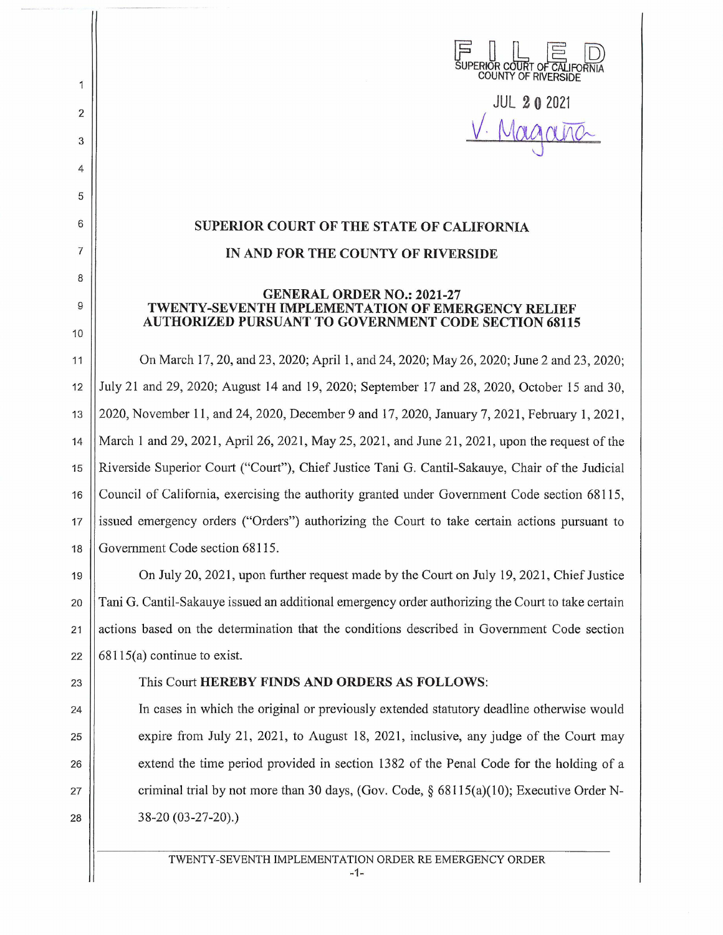

**JUL 2 0 2021**  V. Magana

## **SUPERIOR COURT OF THE STATE OF CALIFORNIA IN AND FOR THE COUNTY OF RIVERSIDE**

## **GENERAL ORDER NO.: 2021-27 TWENTY-SEVENTH IMPLEMENTATION OF EMERGENCY RELIEF AUTHORIZED PURSUANT TO GOVERNMENT CODE SECTION 68115**

11 On March 17, 20, and 23, 2020; April 1, and 24, 2020; May 26, 2020; June 2 and 23, 2020; 12 July 21 and 29, 2020; August 14 and 19, 2020; September 17 and 28, 2020, October 15 and 30, 13 2020, November **11,** and 24, 2020, December 9 and 17, 2020, January 7, 2021, February **1,** 2021, 14 March **1** and 29, 2021 , April 26, 2021 , May 25, 2021, and June 21, 2021 , upon the request of the 15 Riverside Superior Court ("Court"), Chief Justice Tani G. Cantil-Sakauye, Chair of the Judicial 16 Council of California, exercising the authority granted under Government Code section 68115, 17 issued emergency orders ("Orders") authorizing the Court to take certain actions pursuant to 18 Government Code section 68115.

19 On July 20, 2021 , upon further request made by the Comt on July 19, 2021, Chief Justice 20 Tani G. Cantil-Sakauye issued an additional emergency order authorizing the Court to take certain 21 actions based on the determination that the conditions described in Government Code section 22  $\vert$  68115(a) continue to exist.

2

 $\mathbf{1}$ 

3

4

5

6

7

8

9

10

## 23 This Comt **HEREBY FINDS AND ORDERS AS FOLLOWS:**

24 In cases in which the original or previously extended statutory deadline otherwise would 25  $\vert$  expire from July 21, 2021, to August 18, 2021, inclusive, any judge of the Court may 26 extend the time period provided in section 1382 of the Penal Code for the holding of a 27  $\parallel$  criminal trial by not more than 30 days, (Gov. Code, § 68115(a)(10); Executive Order N-28 38-20 (03-27-20).)

TWENTY-SEVENTH IMPLEMENTATION ORDER RE EMERGENCY ORDER

-1-